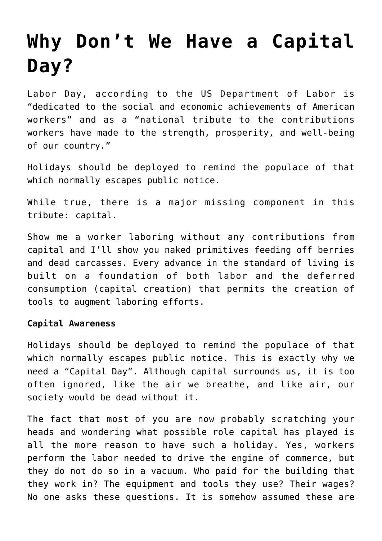## **[Why Don't We Have a Capital](https://intellectualtakeout.org/2016/09/why-dont-we-have-a-capital-day/) [Day?](https://intellectualtakeout.org/2016/09/why-dont-we-have-a-capital-day/)**

Labor Day, according to the US Department of Labor is "dedicated to the social and economic achievements of American workers" and as a "national tribute to the contributions workers have made to the strength, prosperity, and well-being of our country."

Holidays should be deployed to remind the populace of that which normally escapes public notice.

While true, there is a major missing component in this tribute: capital.

Show me a worker laboring without any contributions from capital and I'll show you naked primitives feeding off berries and dead carcasses. Every advance in the standard of living is built on a foundation of both labor and the deferred consumption (capital creation) that permits the creation of tools to augment laboring efforts.

## **Capital Awareness**

Holidays should be deployed to remind the populace of that which normally escapes public notice. This is exactly why we need a "Capital Day". Although capital surrounds us, it is too often ignored, like the air we breathe, and like air, our society would be dead without it.

The fact that most of you are now probably scratching your heads and wondering what possible role capital has played is all the more reason to have such a holiday. Yes, workers perform the labor needed to drive the engine of commerce, but they do not do so in a vacuum. Who paid for the building that they work in? The equipment and tools they use? Their wages? No one asks these questions. It is somehow assumed these are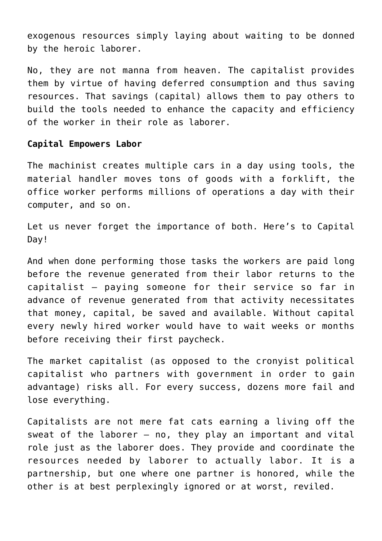exogenous resources simply laying about waiting to be donned by the heroic laborer.

No, they are not manna from heaven. The capitalist provides them by virtue of having deferred consumption and thus saving resources. That savings (capital) allows them to pay others to build the tools needed to enhance the capacity and efficiency of the worker in their role as laborer.

## **Capital Empowers Labor**

The machinist creates multiple cars in a day using tools, the material handler moves tons of goods with a forklift, the office worker performs millions of operations a day with their computer, and so on.

Let us never forget the importance of both. Here's to Capital Day!

And when done performing those tasks the workers are paid long before the revenue generated from their labor returns to the capitalist – paying someone for their service so far in advance of revenue generated from that activity necessitates that money, capital, be saved and available. Without capital every newly hired worker would have to wait weeks or months before receiving their first paycheck.

The market capitalist (as opposed to the cronyist political capitalist who partners with government in order to gain advantage) risks all. For every success, dozens more fail and lose everything.

Capitalists are not mere fat cats earning a living off the sweat of the laborer  $-$  no, they play an important and vital role just as the laborer does. They provide and coordinate the resources needed by laborer to actually labor. It is a partnership, but one where one partner is honored, while the other is at best perplexingly ignored or at worst, reviled.